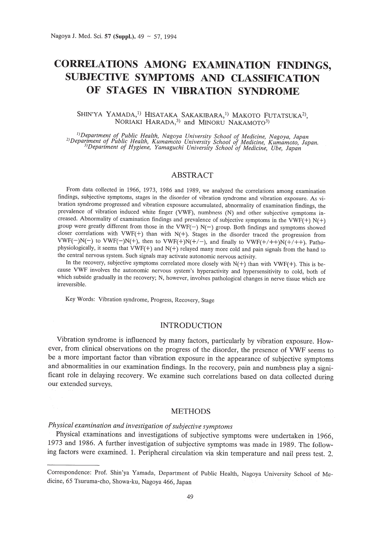# **CORRELATIONS AMONG EXAMINATION FINDINGS, SUBJECTIVE SYMPTOMS AND CLASSIFICATION OF STAGES IN VIBRATION SYNDROME**

# SHIN'YA YAMADA,<sup>1)</sup> HISATAKA SAKAKIBARA,<sup>1)</sup> MAKOTO FUTATSUKA<sup>2)</sup>, NORIAKI HARADA,<sup>3)</sup> and MINORU NAKAMOTO<sup>3)</sup>

<sup>1</sup>) Department of Public Health, Nagoya University School of Medicine, Nagoya, Japan<br><sup>2)</sup> Department of Public Health, Kumamoto University School of Medicine, Kumamoto, Japan.<br><sup>3)</sup> Department of Hygiene, Yamaguchi Univer

# ABSTRACT

From data collected in 1966, 1973, 1986 and 1989, we analyzed the correlations among examination findings, subjective symptoms, stages in the disorder of vibration syndrome and vibration exposure. As vibration syndrome progressed and vibration exposure accumulated, abnormality of examination findings, the prevalence of vibration induced white finger (VWF), numbness (N) and other subjective symptoms increased. Abnormality of examination findings and prevalence of subjective symptoms in the VWF(+)  $N(+)$ group were greatly different from those in the VWF(-)  $N(-)$  group. Both findings and symptoms showed closer correlations with  $VWF(+)$  than with  $N(+)$ . Stages in the disorder traced the progression from VWF(-)N(-) to VWF(-)N(+), then to  $VWF(+)/N(+/-)$ , and finally to  $VWF(+/++)N(+/++)$ . Pathophysiologically, it seems that VWF(+) and N(+) relayed many more cold and pain signals from the hand to the central nervous system. Such signals may activate autonomic nervous activity.

In the recovery, subjective symptoms correlated more closely with  $N(+)$  than with  $VWF(+)$ . This is because VWF involves the autonomic nervous system's hyperactivity and hypersensitivity to cold, both of which subside gradually in the recovery; N, however, involves pathological changes in nerve tissue which are irreversible.

Key Words: Vibration syndrome, Progress, Recovery, Stage

# INTRODUCTION

Vibration syndrome is influenced by many factors, particularly by vibration exposure. However, from clinical observations on the progress of the disorder, the presence of VWF seems to be a more important factor than vibration exposure in the appearance of subjective symptoms and abnormalities in our examination findings. In the recovery, pain and numbness play a significant role in delaying recovery. We examine such correlations based on data collected during our extended surveys.

#### **METHODS**

# *Physical examination and investigation ofsubjective symptoms*

Physical examinations and investigations of subjective symptoms were undertaken in 1966, 1973 and 1986. A further investigation of subjective symptoms was made in 1989. The following factors were examined. 1. Peripheral circulation via skin temperature and nail press test. 2.

Correspondence: Prof. Shin'ya Yamada, Department of Public Health, Nagoya University School of Medicine, 65 Tsuruma-cho, Showa-ku, Nagoya 466, Japan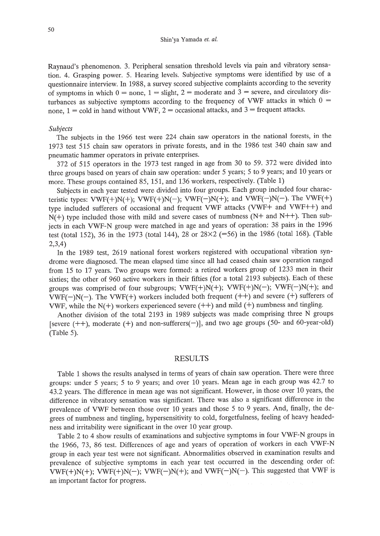Raynaud's phenomenon. 3. Peripheral sensation threshold levels via pain and vibratory sensation. 4. Grasping power. 5. Hearing levels. Subjective symptoms were identified by use of a questionnaire interview. **In** 1988, a survey scored subjective complaints according to the severity of symptoms in which  $0 =$  none,  $1 =$  slight,  $2 =$  moderate and  $3 =$  severe, and circulatory disturbances as subjective symptoms according to the frequency of VWF attacks in which  $0 =$ none,  $1 = \text{cold in hand without VWF}$ ,  $2 = \text{occasional attacks}$ , and  $3 = \text{frequent attacks}$ .

#### *Subjects*

The subjects in the 1966 test were 224 chain saw operators in the national forests, in the 1973 test 515 chain saw operators in private forests, and in the 1986 test 340 chain saw and pneumatic hammer operators in private enterprises.

372 of 515 operators in the 1973 test ranged in age from 30 to 59. 372 were divided into three groups based on years of chain saw operation: under 5 years; 5 to 9 years; and 10 years or more. These groups contained 85, 151, and 136 workers, respectively. (Table 1)

Subjects in each year tested were divided into four groups. Each group included four characteristic types: VWF(+)N(+); VWF(+)N(-); VWF(-)N(+); and VWF(-)N(-). The VWF(+) type included sufferers of occasional and frequent VWF attacks (VWF+ and VWF++) and  $N(+)$  type included those with mild and severe cases of numbness ( $N+$  and  $N++$ ). Then subjects in each VWF-N group were matched in age and years of operation: 38 pairs in the 1996 test (total 152), 36 **in** the 1973 (total 144), 28 or 28X2 (=56) in the 1986 (total 168). (Table 2,3,4)

**In** the 1989 test, 2619 national forest workers registered with occupational vibration syndrome were diagnosed. The mean elapsed time since all had ceased chain saw operation ranged from 15 to 17 years. Two groups were formed: a retired workers group of 1233 men in their sixties; the other of 960 active workers in their fifties (for a total 2193 subjects). Each of these groups was comprised of four subgroups; VWF(+)N(+); VWF(+)N(-); VWF(-)N(+); and VWF(-)N(-). The VWF(+) workers included both frequent  $(++)$  and severe  $(+)$  sufferers of VWF, while the  $N(+)$  workers experienced severe  $(++)$  and mild  $(+)$  numbness and tingling.

Another division of the total 2193 **in** 1989 subjects was made comprising three N groups [severe  $(++)$ , moderate  $(+)$  and non-sufferers $(-)$ ], and two age groups (50- and 60-year-old) (Table 5).

# RESULTS

Table 1 shows the results analysed in terms of years of chain saw operation. There were three groups: under 5 years; 5 to 9 years; and over 10 years. Mean age in each group was 42.7 to 43.2 years. The difference in mean age was not significant. However, in those over 10 years, the difference in vibratory sensation was significant. There was also a significant difference **in** the prevalence of VWF between those over 10 years and those 5 to 9 years. And, finally, the degrees of numbness and tingling, hypersensitivity to cold, forgetfulness, feeling of heavy headedness and irritability were significant **in** the over 10 year group.

Table 2 to 4 show results of examinations and subjective symptoms **in** four VWF-N groups in the 1966, 73, 86 test. Differences of age and years of operation of workers in each VWF-N group in each year test were not significant. Abnormalities observed in examination results and prevalence of subjective symptoms in each year test occurred in the descending order of: VWF(+)N(+); VWF(+)N(-); VWF(-)N(+); and VWF(-)N(-). This suggested that VWF is an important factor for progress.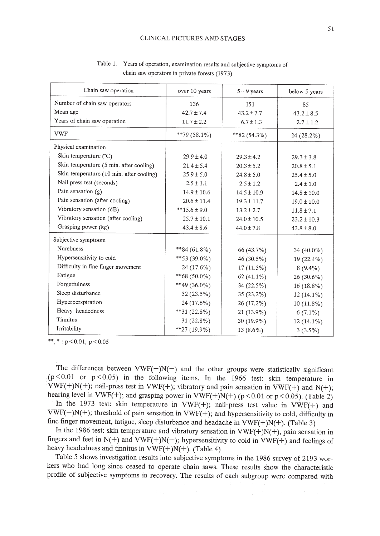#### CLINICAL PICTURES AND STAGES

| Chain saw operation                      | over 10 years    | $5 - 9$ years   | below 5 years   |
|------------------------------------------|------------------|-----------------|-----------------|
| Number of chain saw operators            | 136              | 151             | 85              |
| Mean age                                 | $42.7 \pm 7.4$   | $43.2 \pm 7.7$  | $43.2 \pm 8.5$  |
| Years of chain saw operation             | $11.7 \pm 2.2$   | $6.7 \pm 1.3$   | $2.7 \pm 1.2$   |
| <b>VWF</b>                               | $*$ *79 (58.1%)  | $*82(54.3\%)$   | $24(28.2\%)$    |
| Physical examination                     |                  |                 |                 |
| Skin temperature $(^{\circ}C)$           | $29.9 \pm 4.0$   | $29.3 \pm 4.2$  | $29.3 \pm 3.8$  |
| Skin temperature (5 min. after cooling)  | $21.4 \pm 5.4$   | $20.3 \pm 5.2$  | $20.8 \pm 5.1$  |
| Skin temperature (10 min. after cooling) | $25.9 \pm 5.0$   | $24.8 \pm 5.0$  | $25.4 \pm 5.0$  |
| Nail press test (seconds)                | $2.5 \pm 1.1$    | $2.5 \pm 1.2$   | $2.4 \pm 1.0$   |
| Pain sensation $(g)$                     | $14.9 \pm 10.6$  | $14.5 \pm 10.9$ | $14.8 \pm 10.0$ |
| Pain sensation (after cooling)           | $20.6 \pm 11.4$  | $19.3 \pm 11.7$ | $19.0 \pm 10.0$ |
| Vibratory sensation (dB)                 | $**15.6 \pm 9.0$ | $13.2 \pm 2.7$  | $11.8 \pm 7.1$  |
| Vibratory sensation (after cooling)      | $25.7 \pm 10.1$  | $24.0 \pm 10.5$ | $23.2 \pm 10.3$ |
| Grasping power (kg)                      | $43.4 \pm 8.6$   | $44.0 \pm 7.8$  | $43.8 \pm 8.0$  |
| Subjective symptoom                      |                  |                 |                 |
| <b>Numbness</b>                          | **84 $(61.8\%)$  | 66 (43.7%)      | 34 $(40.0\%)$   |
| Hypersensitivity to cold                 | $**53(39.0\%)$   | 46 $(30.5\%)$   | 19 (22.4%)      |
| Difficulty in fine finger movement       | 24 (17.6%)       | $17(11.3\%)$    | $8(9.4\%)$      |
| Fatigue                                  | **68 (50.0%)     | 62 (41.1%)      | $26(30.6\%)$    |
| Forgetfulness                            | **49 (36.0%)     | 34(22.5%)       | $16(18.8\%)$    |
| Sleep disturbance                        | 32 (23.5%)       | $35(23.2\%)$    | $12(14.1\%)$    |
| Hyperperspiration                        | 24 (17.6%)       | 26 (17.2%)      | $10(11.8\%)$    |
| Heavy headedness                         | **31 $(22.8\%)$  | 21 (13.9%)      | $6(7.1\%)$      |
| Tinnitus                                 | $31(22.8\%)$     | 30 (19.9%)      | $12(14.1\%)$    |
| Irritability                             | $*$ *27 (19.9%)  | 13 $(8.6\%)$    | $3(3.5\%)$      |

Table 1. Years of operation, examination results and subjective symptoms of chain saw operators in private forests (1973)

\*\*, \*:  $p < 0.01$ ,  $p < 0.05$ 

The differences between  $VWF(-)N(-)$  and the other groups were statistically significant ( $p < 0.01$  or  $p < 0.05$ ) in the following items. In the 1966 test: skin temperature in VWF(+)N(+); nail-press test in VWF(+); vibratory and pain sensation in VWF(+) and N(+); hearing level in VWF(+); and grasping power in VWF(+)N(+) ( $p < 0.01$  or  $p < 0.05$ ). (Table 2) In the 1973 test: skin temperature in VWF(+); nail-press test value in VWF(+) and  $VWF(-)N(+)$ ; threshold of pain sensation in  $VWF(+)$ ; and hypersensitivity to cold, difficulty in fine finger movement, fatigue, sleep disturbance and headache in  $VWF(+)N(+)$ . (Table 3)

In the 1986 test: skin temperature and vibratory sensation in  $VWF(+)N(+)$ , pain sensation in fingers and feet in  $N(+)$  and  $VWF(+)N(-)$ ; hypersensitivity to cold in  $VWF(+)$  and feelings of heavy headedness and tinnitus in  $VWF(+)N(+)$ . (Table 4)

Table 5 shows investigation results into subjective symptoms in the 1986 survey of 2193 workers who had long since ceased to operate chain saws. These results show the characteristic profile of subjective symptoms in recovery. The results of each subgroup were compared with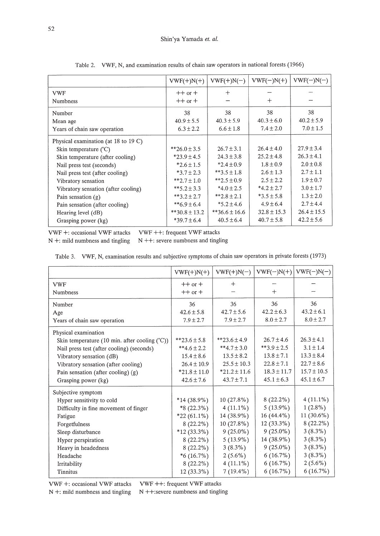|                                          | $VWF(+)N(+)$     | $VWF(+)N(-)$      | $VWF(-)N(+)$    | $VWF(-)N(-)$    |
|------------------------------------------|------------------|-------------------|-----------------|-----------------|
| <b>VWF</b>                               | $++$ or $+$      | $^{+}$            |                 |                 |
| <b>Numbness</b>                          | $++$ or $+$      |                   | $^{+}$          |                 |
| Number                                   | 38               | 38                | 38              | 38              |
| Mean age                                 | $40.9 \pm 5.5$   | $40.3 \pm 5.9$    | $40.3 \pm 6.0$  | $40.2 \pm 5.9$  |
| Years of chain saw operation             | $6.3 \pm 2.2$    | $6.6 \pm 1.8$     | $7.4 \pm 2.0$   | $7.0 \pm 1.5$   |
| Physical examination (at $18$ to $19$ C) |                  |                   |                 |                 |
| Skin temperature $(^{\circ}C)$           | $*$ 26.0 ± 3.5   | $26.7 \pm 3.1$    | $26.4 \pm 4.0$  | $27.9 \pm 3.4$  |
| Skin temperature (after cooling)         | $*23.9 \pm 4.5$  | $24.3 \pm 3.8$    | $25.2 \pm 4.8$  | $26.3 \pm 4.1$  |
| Nail press test (seconds)                | $*2.6 \pm 1.5$   | $*2.4 \pm 0.9$    | $1.8 \pm 0.9$   | $2.0 \pm 0.8$   |
| Nail press test (after cooling)          | $*3.7 \pm 2.3$   | $**3.5 + 1.8$     | $2.6 \pm 1.3$   | $2.7 \pm 1.1$   |
| Vibratory sensation                      | $*2.7 \pm 1.0$   | **2.5 ± 0.9       | $2.5 \pm 2.2$   | $1.9 \pm 0.7$   |
| Vibratory sensation (after cooling)      | $**5.2 \pm 3.3$  | $*4.0 \pm 2.5$    | $*4.2 + 2.7$    | $3.0 \pm 1.7$   |
| Pain sensation $(g)$                     | $*3.2 \pm 2.7$   | $*2.8 \pm 2.1$    | $*3.5 \pm 5.8$  | $1.3 \pm 2.0$   |
| Pain sensation (after cooling)           | $*$ 6.9 ± 6.4    | $*5.2 \pm 4.6$    | $4.9 \pm 6.4$   | $2.7 \pm 4.4$   |
| Hearing level (dB)                       | $*30.8 \pm 13.2$ | $**36.6 \pm 16.6$ | $32.8 \pm 15.3$ | $26.4 \pm 15.5$ |
| Grasping power (kg)                      | $*39.7 \pm 6.4$  | $40.5 \pm 6.4$    | $40.7 \pm 5.8$  | $42.2 \pm 5.6$  |

Table 2. VWF, N, and examination results of chain saw operators in national forests (1966)

VWF +: occasional VWF attacks VWF ++: frequent VWF attacks  $N +$ : mild numbness and tingling  $N +$ : severe numbness and tingling

| Table 3. VWF, N, examination results and subjective symptoms of chain saw operators in private forests (1973) |  |  |  |  |  |  |
|---------------------------------------------------------------------------------------------------------------|--|--|--|--|--|--|
|---------------------------------------------------------------------------------------------------------------|--|--|--|--|--|--|

|                                                           | $VWF(+)N(+)$     | $VWF(+)N(-)$     | $VWF(-)N(+)$    | $VWF(-)N(-)$    |
|-----------------------------------------------------------|------------------|------------------|-----------------|-----------------|
| <b>VWF</b>                                                | $++$ or $+$      | $+$              |                 |                 |
| <b>Numbness</b>                                           | $++$ or $+$      |                  | $^{+}$          |                 |
| Number                                                    | 36               | 36               | 36              | 36              |
| Age                                                       | $42.6 \pm 5.8$   | $42.7 \pm 5.6$   | $42.2 \pm 6.3$  | $43.2 \pm 6.1$  |
| Years of chain saw operation                              | $7.9 \pm 2.7$    | $7.9 \pm 2.7$    | $8.0 \pm 2.7$   | $8.0 \pm 2.7$   |
| Physical examination                                      |                  |                  |                 |                 |
| Skin temperature (10 min. after cooling $({}^{\circ}C)$ ) | $*$ *23.6 ± 5.8  | $*23.6 \pm 4.9$  | $26.7 + 4.6$    | $26.3 \pm 4.1$  |
| Nail press test (after cooling) (seconds)                 | $**4.6 \pm 2.2$  | $**4.7 \pm 3.0$  | $**3.9 \pm 2.5$ | $3.1 \pm 1.4$   |
| Vibratory sensation (dB)                                  | $15.4 \pm 8.6$   | $13.5 \pm 8.2$   | $13.8 \pm 7.1$  | $13.3 \pm 8.4$  |
| Vibratory sensation (after cooling)                       | $26.4 \pm 10.9$  | $25.5 \pm 10.3$  | $22.8 \pm 7.1$  | $22.7 \pm 8.6$  |
| Pain sensation (after cooling) (g)                        | $*21.8 \pm 11.0$ | $*21.2 \pm 11.6$ | $18.3 \pm 11.7$ | $15.7 \pm 10.5$ |
| Grasping power (kg)                                       | $42.6 \pm 7.6$   | $43.7 \pm 7.1$   | $45.1 \pm 6.3$  | $45.1 \pm 6.7$  |
| Subjective symptom                                        |                  |                  |                 |                 |
| Hyper sensitivity to cold                                 | $*14(38.9\%)$    | $10(27.8\%)$     | $8(22.2\%)$     | $4(11.1\%)$     |
| Difficulty in fine movement of finger                     | $*8(22.3\%)$     | $4(11.1\%)$      | $5(13.9\%)$     | $1(2.8\%)$      |
| Fatigue                                                   | $*22(61.1\%)$    | 14 (38.9%)       | $16(44.4\%)$    | 11 (30.6%)      |
| Forgetfulness                                             | $8(22.2\%)$      | 10(27.8%)        | $12(33.3\%)$    | $8(22.2\%)$     |
| Sleep disturbance                                         | $*12(33.3\%)$    | $9(25.0\%)$      | $9(25.0\%)$     | $3(8.3\%)$      |
| Hyper perspiration                                        | $8(22.2\%)$      | $5(13.9\%)$      | 14 (38.9%)      | $3(8.3\%)$      |
| Heavy in headedness                                       | $8(22.2\%)$      | $3(8.3\%)$       | $9(25.0\%)$     | $3(8.3\%)$      |
| Headache                                                  | $*6(16.7\%)$     | $2(5.6\%)$       | $6(16.7\%)$     | $3(8.3\%)$      |
| Irritability                                              | $8(22.2\%)$      | $4(11.1\%)$      | $6(16.7\%)$     | $2(5.6\%)$      |
| <b>Tinnitus</b>                                           | $12(33.3\%)$     | $7(19.4\%)$      | $6(16.7\%)$     | 6(16.7%)        |

VWF +: occasional VWF attacks VWF ++: frequent VWF attacks

 $N +$ : mild numbness and tingling  $N +$ : severe numbness and tingling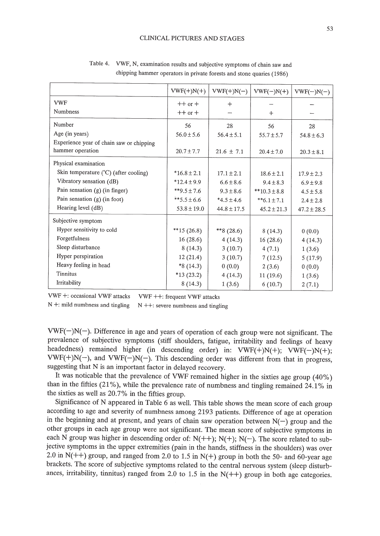|                                                              | $VWF(+)N(+)$    | $VWF(+)N(-)$    | $VWF(-)N(+)$     | $VWF(-)N(-)$    |
|--------------------------------------------------------------|-----------------|-----------------|------------------|-----------------|
| <b>VWF</b>                                                   | $++$ or $+$     | $+$             |                  |                 |
| <b>Numbness</b>                                              | $++$ or $+$     |                 | $+$              |                 |
| Number                                                       | 56              | 28              | 56               | 28              |
| Age (in years)                                               | $56.0 \pm 5.6$  | $56.4 \pm 5.1$  | $55.7 \pm 5.7$   | $54.8 \pm 6.3$  |
| Experience year of chain saw or chipping<br>hammer operation | $20.7 \pm 7.7$  | $21.6 \pm 7.1$  | $20.4 \pm 7.0$   | $20.3 \pm 8.1$  |
| Physical examination                                         |                 |                 |                  |                 |
| Skin temperature (°C) (after cooling)                        | $*16.8 \pm 2.1$ | $17.1 \pm 2.1$  | $18.6 \pm 2.1$   | $17.9 \pm 2.3$  |
| Vibratory sensation (dB)                                     | $*12.4 \pm 9.9$ | $6.6 \pm 8.6$   | $9.4 \pm 8.3$    | $6.9 \pm 9.8$   |
| Pain sensation $(g)$ (in finger)                             | $*$ \$9.5 ± 7.6 | $9.3 \pm 8.6$   | $**10.3 \pm 8.8$ | $4.5 \pm 5.8$   |
| Pain sensation (g) (in foot)                                 | **5.5 ± 6.6     | $*4.5 \pm 4.6$  | $***6.1 \pm 7.1$ | $2.4 \pm 2.8$   |
| Hearing level (dB)                                           | $53.8 \pm 19.0$ | $44.8 \pm 17.5$ | $45.2 \pm 21.3$  | $47.2 \pm 28.5$ |
| Subjective symptom                                           |                 |                 |                  |                 |
| Hyper sensitivity to cold                                    | **15 $(26.8)$   | **8 $(28.6)$    | 8(14.3)          | 0(0.0)          |
| Forgetfulness                                                | 16(28.6)        | 4(14.3)         | 16(28.6)         | 4(14.3)         |
| Sleep disturbance                                            | 8(14.3)         | 3(10.7)         | 4(7.1)           | 1(3.6)          |
| Hyper perspiration                                           | 12(21.4)        | 3(10.7)         | 7(12.5)          | 5(17.9)         |
| Heavy feeling in head                                        | $*8(14.3)$      | 0(0.0)          | 2(3.6)           | 0(0.0)          |
| <b>Tinnitus</b>                                              | $*13(23.2)$     | 4(14.3)         | 11(19.6)         | 1(3.6)          |
| Irritability                                                 | 8(14.3)         | 1(3.6)          | 6(10.7)          | 2(7.1)          |

Table 4. VWF, N, examination results and subjective symptoms of chain saw and chipping hammer operators in private forests and stone quaries (1986)

VWF +: occasional VWF attacks VWF ++: frequent VWF attacks

 $N +$ : mild numbness and tingling  $N + +$ : severe numbness and tingling

 $VWF(-)N(-)$ . Difference in age and years of operation of each group were not significant. The prevalence of subjective symptoms (stiff shoulders, fatigue, irritability and feelings of heavy headedness) remained higher (in descending order) in: VWF(+)N(+); VWF(-)N(+);  $VWF(+)N(-)$ , and  $VWF(-)N(-)$ . This descending order was different from that in progress, suggesting that N is an important factor in delayed recovery.

It was noticable that the prevalence of VWF remained higher in the sixties age group (40%) than in the fifties (21%), while the prevalence rate of numbness and tingling remained 24.1% in the sixties as well as 20.7% in the fifties group.

Significance of N appeared in Table 6 as well. This table shows the mean score of each group according to age and severity of numbness among 2193 patients. Difference of age at operation in the beginning and at present, and years of chain saw operation between  $N(-)$  group and the other groups in each age group were not significant. The mean score of subjective symptoms in each N group was higher in descending order of:  $N(++); N(+); N(-)$ . The score related to subjective symptoms in the upper extremities (pain in the hands, stiffness in the shoulders) was over 2.0 in N(++) group, and ranged from 2.0 to 1.5 in N(+) group in both the 50- and 60-year age brackets. The score of subjective symptoms related to the central nervous system (sleep disturbances, irritability, tinnitus) ranged from 2.0 to 1.5 in the  $N(++)$  group in both age categories.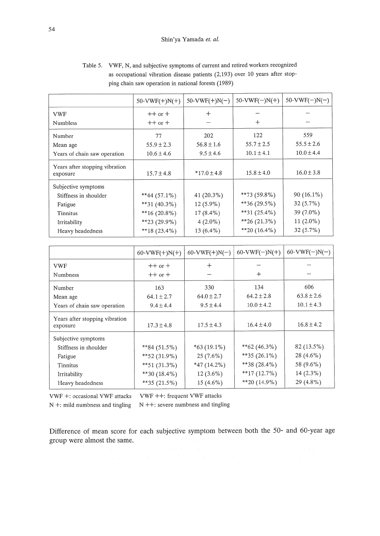|                                            | $50-VWF(+)N(+)$ | $50-VWF(+)N(-)$ | $50-VWF(-)N(+)$ | $50-VWF(-)N(-)$ |
|--------------------------------------------|-----------------|-----------------|-----------------|-----------------|
| <b>VWF</b>                                 | $++$ or $+$     | $^{+}$          |                 |                 |
| <b>Numbless</b>                            | $++$ or $+$     |                 | $+$             |                 |
| Number                                     | 77              | 202             | 122             | 559             |
| Mean age                                   | $55.9 \pm 2.3$  | $56.8 \pm 1.6$  | $55.7 \pm 2.5$  | $55.5 \pm 2.6$  |
| Years of chain saw operation               | $10.6 \pm 4.6$  | $9.5 \pm 4.6$   | $10.1 \pm 4.1$  | $10.0 \pm 4.4$  |
| Years after stopping vibration<br>exposure | $15.7 \pm 4.8$  | $*17.0 \pm 4.8$ | $15.8 \pm 4.0$  | $16.0 \pm 3.8$  |
| Subjective symptoms                        |                 |                 |                 |                 |
| Stiffness in shoulder                      | $**44(57.1\%)$  | 41 (20.3%)      | $**73(59.8\%)$  | $90(16.1\%)$    |
| Fatigue                                    | $*31 (40.3\%)$  | $12(5.9\%)$     | $**36(29.5\%)$  | $32(5.7\%)$     |
| Tinnitus                                   | $*16(20.8\%)$   | $17(8.4\%)$     | $**31(25.4\%)$  | $39(7.0\%)$     |
| Irritability                               | $*$ *23 (29.9%) | $4(2.0\%)$      | $*26(21.3\%)$   | 11 $(2.0\%)$    |
| Heavy headedness                           | $**18(23.4\%)$  | 13 $(6.4\%)$    | $*$ 20 (16.4%)  | $32(5.7\%)$     |

Table 5. VWF, N, and subjective symptoms of current and retired workers recognized as occupational vibration disease patients (2,193) over 10 years after stopping chain saw operation in national forests (1989)

|                                            | $60-VWF(+)N(+)$ | $60-VWF(+)N(-)$ | $60-VWF(-)N(+)$  | $60-VWF(-)N(-)$ |
|--------------------------------------------|-----------------|-----------------|------------------|-----------------|
| <b>VWF</b>                                 | $++$ or $+$     | $\pm$           |                  |                 |
| Numbness                                   | $++$ or $+$     |                 | $^{+}$           |                 |
| Number                                     | 163             | 330             | 134              | 606             |
| Mean age                                   | $64.1 \pm 2.7$  | $64.0 \pm 2.7$  | $64.2 \pm 2.8$   | $63.8 \pm 2.6$  |
| Years of chain saw operation               | $9.4 \pm 4.4$   | $9.5 \pm 4.4$   | $10.0 \pm 4.2$   | $10.1 \pm 4.3$  |
| Years after stopping vibration<br>exposure | $17.3 \pm 4.8$  | $17.5 \pm 4.3$  | $16.4 \pm 4.0$   | $16.8 \pm 4.2$  |
| Subjective symptoms                        |                 |                 |                  |                 |
| Stiffness in shoulder                      | $*84(51.5\%)$   | $*63(19.1\%)$   | $*$ $62(46.3\%)$ | 82 (13.5%)      |
| Fatigue                                    | $*$ 52 (31.9%)  | $25(7.6\%)$     | $**35(26.1\%)$   | 28 $(4.6\%)$    |
| Tinnitus                                   | $*51(31.3\%)$   | $*47(14.2\%)$   | $**38(28.4\%)$   | 58 (9.6%)       |
| Irritability                               | **30 $(18.4\%)$ | $12(3.6\%)$     | $*17(12.7\%)$    | $14(2.3\%)$     |
| Heavy headedness                           | $**35(21.5\%)$  | 15 $(4.6\%)$    | $*$ 20 (14.9%)   | $29(4.8\%)$     |

VWF +: occasional VWF attacks VWF ++: frequent VWF attacks

 $N +$ : mild numbness and tingling  $N +$ : severe numbness and tingling

Difference of mean score for each subjective symptom between both the 50- and 60-year age group were almost the same.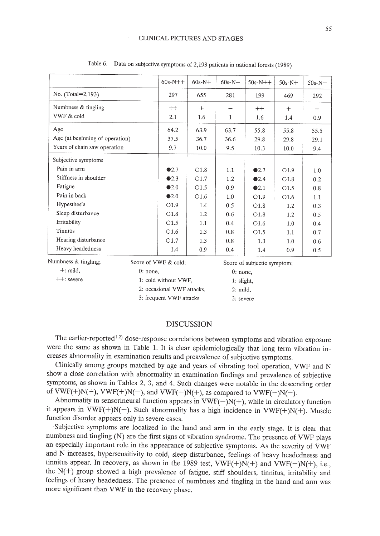|                                 | $60s - N++$          | $60s-N+$ | $60s-N-$ | $50s-N++$                   | $50s-N+$ | $50s-N-$ |
|---------------------------------|----------------------|----------|----------|-----------------------------|----------|----------|
| No. (Total=2,193)               | 297                  | 655      | 281      | 199                         | 469      | 292      |
| Numbness & tingling             | $++$                 | $+$      |          | $++$                        | $+$      |          |
| VWF & cold                      | 2.1                  | 1.6      | 1        | 1.6                         | 1.4      | 0.9      |
| Age                             | 64.2                 | 63.9     | 63.7     | 55.8                        | 55.8     | 55.5     |
| Age (at beginning of operation) | 37.5                 | 36.7     | 36.6     | 29.8                        | 29.8     | 29.1     |
| Years of chain saw operation    | 9.7                  | 10.0     | 9.5      | 10.3                        | 10.0     | 9.4      |
| Subjective symptoms             |                      |          |          |                             |          |          |
| Pain in arm                     | $\bullet 2.7$        | O1.8     | 1.1      | $\bullet$ 2.7               | O1.9     | 1.0      |
| Stiffness in shoulder           | Q2.3                 | O1.7     | 1.2      | Q2.4                        | O1.8     | 0.2      |
| Fatigue                         | $\bullet$ 2.0        | O1.5     | 0.9      | Q2.1                        | O1.5     | 0.8      |
| Pain in back                    | $\bullet$ 2.0        | O1.6     | 1.0      | O1.9                        | O1.6     | 1.1      |
| Hypesthesia                     | O1.9                 | 1.4      | 0.5      | O1.8                        | 1.2      | 0.3      |
| Sleep disturbance               | O1.8                 | 1.2      | 0.6      | O1.8                        | 1.2      | 0.5      |
| Irritability                    | O1.5                 | 1.1      | 0.4      | O1.6                        | 1.0      | 0.4      |
| <b>Tinnitis</b>                 | O1.6                 | 1.3      | 0.8      | O1.5                        | 1.1      | 0.7      |
| Hearing disturbance             | O1.7                 | 1.3      | 0.8      | 1.3                         | 1.0      | 0.6      |
| Heavy headedness                | 1.4                  | 0.9      | 0.4      | 1.4                         | 0.9      | 0.5      |
| Numbness & tingling;            | Score of VWF & cold: |          |          | Score of subjectie symptom; |          |          |

Table 6. Data on subjective symptoms of 2,193 patients in national forests (1989)

| Numbness & tingling; | Score of VWF & cold:       | Score of subjectie symptor |
|----------------------|----------------------------|----------------------------|
| $+$ : mild.          | $0:$ none,                 | $0:$ none,                 |
| $++:$ severe         | 1: cold without VWF.       | $1:$ slight,               |
|                      | 2: occasional VWF attacks. | $2:$ mild,                 |
|                      | 3: frequent VWF attacks    | 3: severe                  |
|                      |                            |                            |

# DISCUSSION

The earlier-reported<sup>1,2)</sup> dose-response correlations between symptoms and vibration exposure were the same as shown in Table 1. It is clear epidemiologically that long term vibration increases abnormality in examination results and preavalence of subjective symptoms.

Clinically among groups matched by age and years of vibrating tool operation, VWF and N show a close correlation with abnormality in examination findings and prevalence of subjective symptoms, as shown in Tables 2, 3, and 4. Such changes were notable in the descending order of VWF(+)N(+), VWF(+)N(-), and VWF(-)N(+), as compared to VWF(-)N(-).

Abnormality in sensorineural function appears in  $VWF(-)N(+)$ , while in circulatory function it appears in VWF(+)N(-). Such abnormality has a high incidence in VWF(+)N(+). Muscle function disorder appears only in severe cases.

Subjective symptoms are localized in the hand and arm in the early stage. It is clear that numbness and tingling (N) are the first signs of vibration syndrome. The presence of VWF plays an especially important role in the appearance of subjective symptoms. As the severity of VWF and N increases, hypersensitivity to cold, sleep disturbance, feelings of heavy headednesss and tinnitus appear. In recovery, as shown in the 1989 test, VWF(+)N(+) and VWF(-)N(+), i.e., the N(+) group showed a high prevalence of fatigue, stiff shoulders, tinnitus, irritability and feelings of heavy headedness. The presence of numbness and tingling in the hand and arm was more significant than VWF in the recovery phase.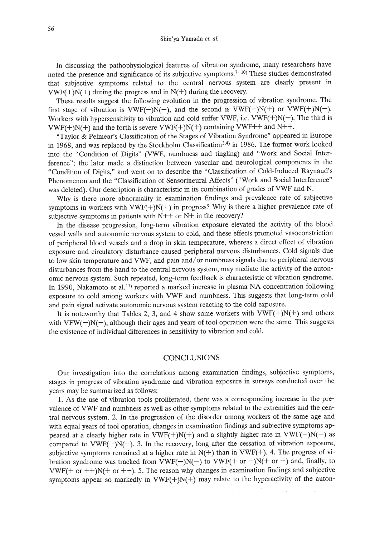In discussing the pathophysiological features of vibration syndrome, many researchers have noted the presence and significance of its subjective symptoms.<sup>7-10</sup> These studies demonstrated that subjective symptoms related to the central nervous system are clearly present in  $VWF(+)N(+)$  during the progress and in  $N(+)$  during the recovery.

These results suggest the following evolution in the progression of vibration syndrome. The first stage of vibration is  $VWF(-)N(-)$ , and the second is  $VWF(-)N(+)$  or  $VWF(+)N(-)$ . Workers with hypersensitivity to vibration and cold suffer VWF, i.e. VWF $(+)N(-)$ . The third is  $VWF(+)N(+)$  and the forth is severe  $VWF(+)N(+)$  containing  $VWF++$  and  $N++$ .

"Taylor & Pelmear's Classification of the Stages of Vibration Syndrome" appeared in Europe in 1968, and was replaced by the Stockholm Classification<sup>3,4)</sup> in 1986. The former work looked into the "Condition of Digits" (VWF, numbness and tingling) and "Work and Social Interference"; the later made a distinction between vascular and neurological components in the "Condition of Digits," and went on to describe the "Classification of Cold-Induced Raynaud's Phenomenon and the "Classification of Sensorineural Affects" ("Work and Social Interference" was deleted). Our description is characteristic in its combination of grades of VWF and N.

Why is there more abnormality in examination findings and prevalence rate of subjective symptoms in workers with  $VWF(+)N(+)$  in progress? Why is there a higher prevalence rate of subjective symptoms in patients with  $N++$  or  $N+$  in the recovery?

In the disease progression, long-term vibration exposure elevated the activity of the blood vessel walls and autonomic nervous system to cold, and these effects promoted vasoconstriction of peripheral blood vessels and a drop in skin temperature, whereas a direct effect of vibration exposure and circulatory disturbance caused peripheral nervous disturbances. Cold signals due to low skin temperature and VWF, and pain and/or numbness signals due to peripheral nervous disturbances from the hand to the central nervous system, may mediate the activity of the autonomic nervous system. Such repeated, long-term feedback is characteristic of vibration syndrome. In 1990, Nakamoto et al.<sup>11</sup> reported a marked increase in plasma NA concentration following exposure to cold among workers with VWF and numbness. This suggests that long-term cold and pain signal activate autonomic nervous system reacting to the cold exposure.

It is noteworthy that Tables 2, 3, and 4 show some workers with  $VWF(+)N(+)$  and others with VFW( $-)N(-)$ , although their ages and years of tool operation were the same. This suggests the existence of individual differences in sensitivity to vibration and cold.

### **CONCLUSIONS**

Our investigation into the correlations among examination findings, subjective symptoms, stages in progress of vibration syndrome and vibration exposure in surveys conducted over the years may be summarized as follows:

1. As the use of vibration tools proliferated, there was a corresponding increase in the prevalence of VWF and numbness as well as other symptoms related to the extremities and the central nervous system. 2. In the progression of the disorder among workers of the same age and with equal years of tool operation, changes in examination findings and subjective symptoms appeared at a clearly higher rate in VWF(+)N(+) and a slightly higher rate in VWF(+)N(-) as compared to  $VWF(-)N(-)$ . 3. In the recovery, long after the cessation of vibration exposure, subjective symptoms remained at a higher rate in  $N(+)$  than in VWF(+). 4. The progress of vibration syndrome was tracked from VWF(-)N(-) to VWF(+ or -)N(+ or -) and, finally, to  $VWF(+ or ++)N(+ or ++)$ . 5. The reason why changes in examination findings and subjective symptoms appear so markedly in  $VWF(+)N(+)$  may relate to the hyperactivity of the auton